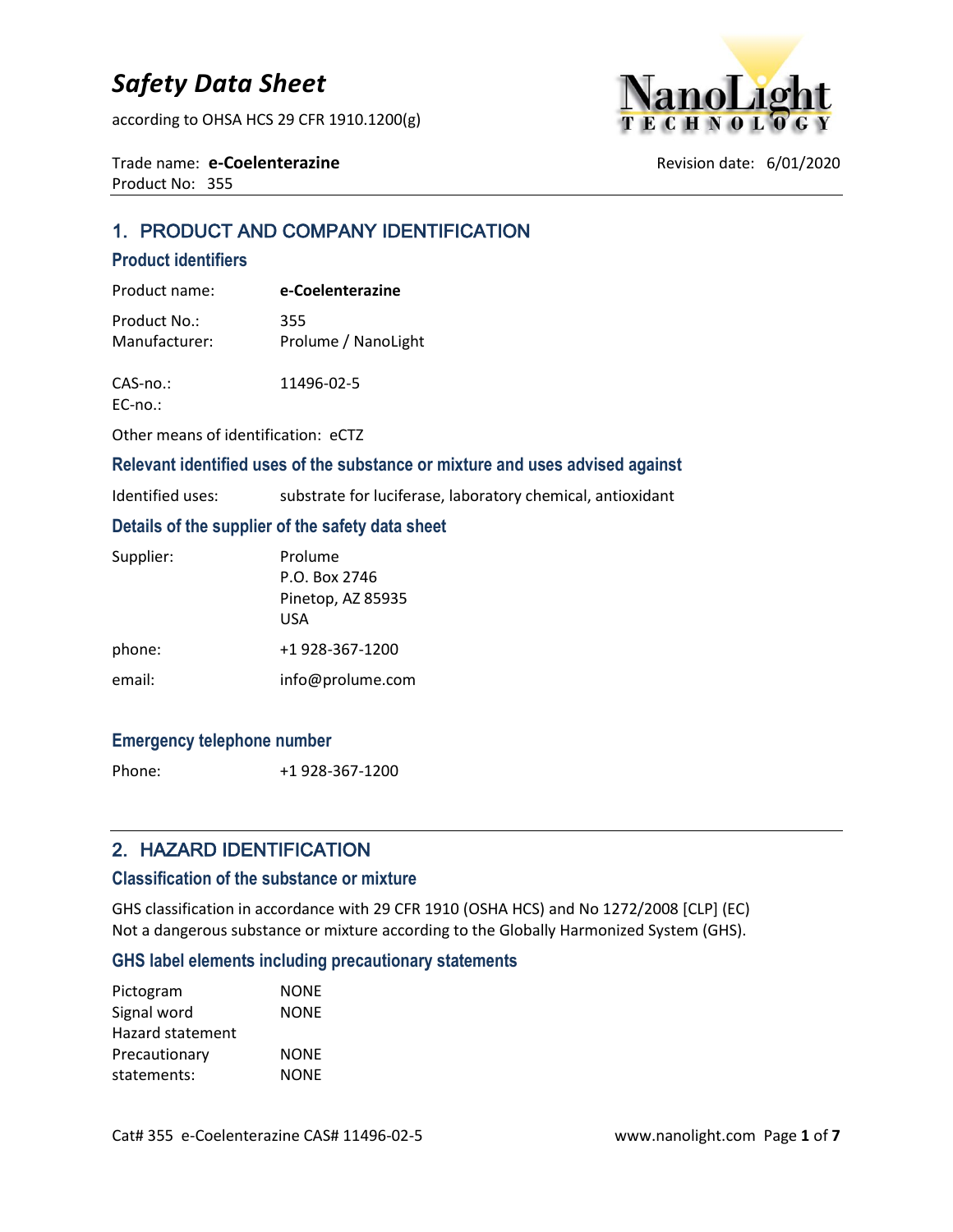according to OHSA HCS 29 CFR 1910.1200(g)



Trade name: **e-Coelenterazine Revision date: 6/01/2020** Product No: 355

# 1. PRODUCT AND COMPANY IDENTIFICATION

#### **Product identifiers**

| Product name: | e-Coelenterazine    |
|---------------|---------------------|
| Product No.:  | 355                 |
| Manufacturer: | Prolume / NanoLight |

CAS-no.: 11496-02-5

EC-no.:

Other means of identification: eCTZ

#### **Relevant identified uses of the substance or mixture and uses advised against**

| Identified uses: | substrate for luciferase, laboratory chemical, antioxidant |  |  |
|------------------|------------------------------------------------------------|--|--|
|------------------|------------------------------------------------------------|--|--|

#### **Details of the supplier of the safety data sheet**

| Supplier: | Prolume           |
|-----------|-------------------|
|           | P.O. Box 2746     |
|           | Pinetop, AZ 85935 |
|           | USA               |
| phone:    | +1 928-367-1200   |
| email:    | info@prolume.com  |

#### **Emergency telephone number**

Phone: +1 928-367-1200

### 2. HAZARD IDENTIFICATION

#### **Classification of the substance or mixture**

GHS classification in accordance with 29 CFR 1910 (OSHA HCS) and No 1272/2008 [CLP] (EC) Not a dangerous substance or mixture according to the Globally Harmonized System (GHS).

#### **GHS label elements including precautionary statements**

| <b>NONE</b> |
|-------------|
| <b>NONE</b> |
|             |
| <b>NONE</b> |
| <b>NONE</b> |
|             |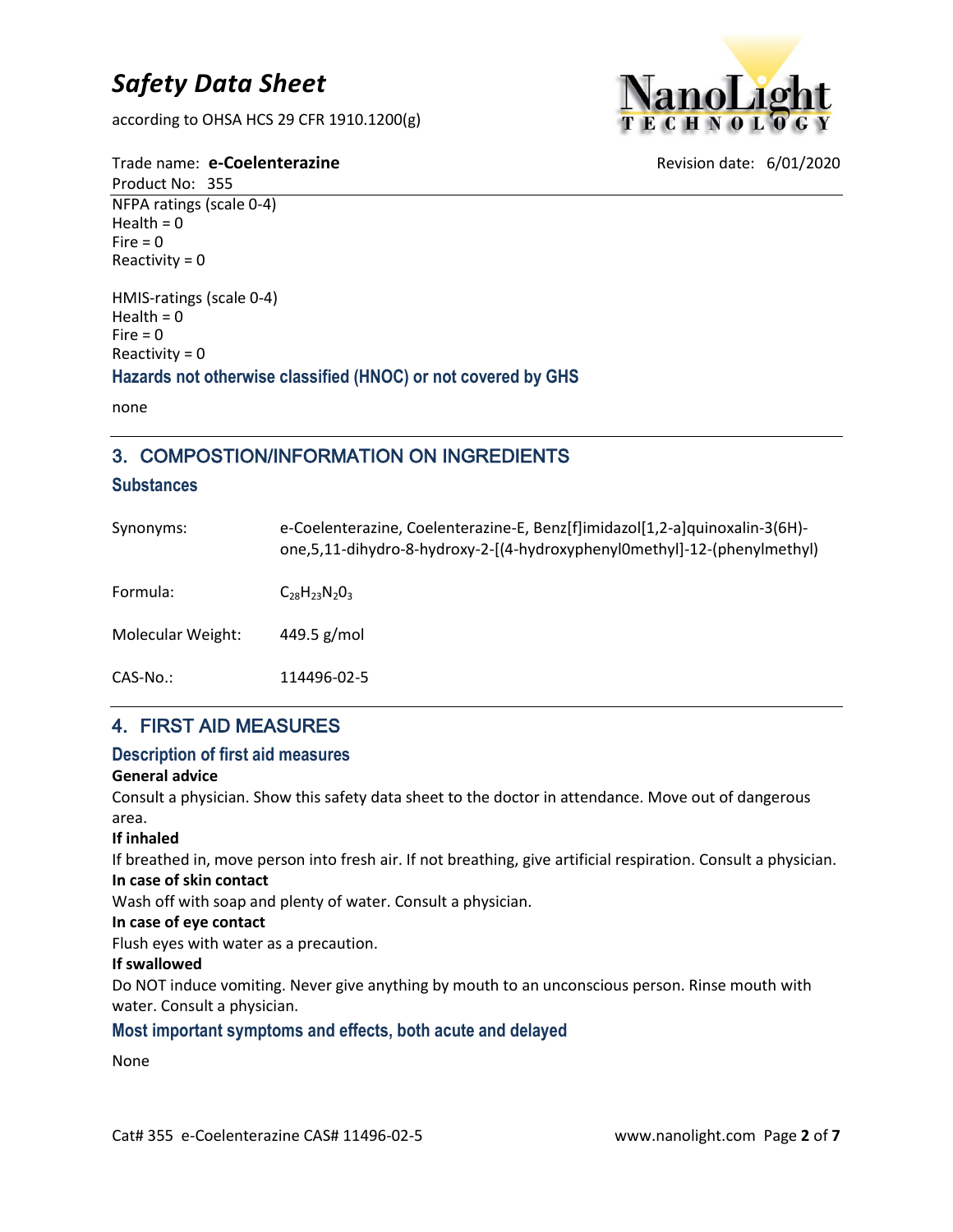according to OHSA HCS 29 CFR 1910.1200(g)



Trade name: **e-Coelenterazine Revision date: 6/01/2020** 

Product No: 355 NFPA ratings (scale 0-4) Health =  $0$  $Fire = 0$ Reactivity  $= 0$ 

HMIS-ratings (scale 0-4) Health  $= 0$  $Fire = 0$ Reactivity = 0

**Hazards not otherwise classified (HNOC) or not covered by GHS**

none

# 3. COMPOSTION/INFORMATION ON INGREDIENTS

#### **Substances**

| Synonyms:         | e-Coelenterazine, Coelenterazine-E, Benz[f]imidazol[1,2-a]quinoxalin-3(6H)-<br>one,5,11-dihydro-8-hydroxy-2-[(4-hydroxyphenyl0methyl]-12-(phenylmethyl) |
|-------------------|---------------------------------------------------------------------------------------------------------------------------------------------------------|
| Formula:          | $C_{28}H_{23}N_{2}O_{3}$                                                                                                                                |
| Molecular Weight: | 449.5 $g/mol$                                                                                                                                           |
| $CAS-No.$ :       | 114496-02-5                                                                                                                                             |

# 4. FIRST AID MEASURES

#### **Description of first aid measures**

#### **General advice**

Consult a physician. Show this safety data sheet to the doctor in attendance. Move out of dangerous area.

#### **If inhaled**

If breathed in, move person into fresh air. If not breathing, give artificial respiration. Consult a physician. **In case of skin contact**

Wash off with soap and plenty of water. Consult a physician.

#### **In case of eye contact**

Flush eyes with water as a precaution.

#### **If swallowed**

Do NOT induce vomiting. Never give anything by mouth to an unconscious person. Rinse mouth with water. Consult a physician.

### **Most important symptoms and effects, both acute and delayed**

### None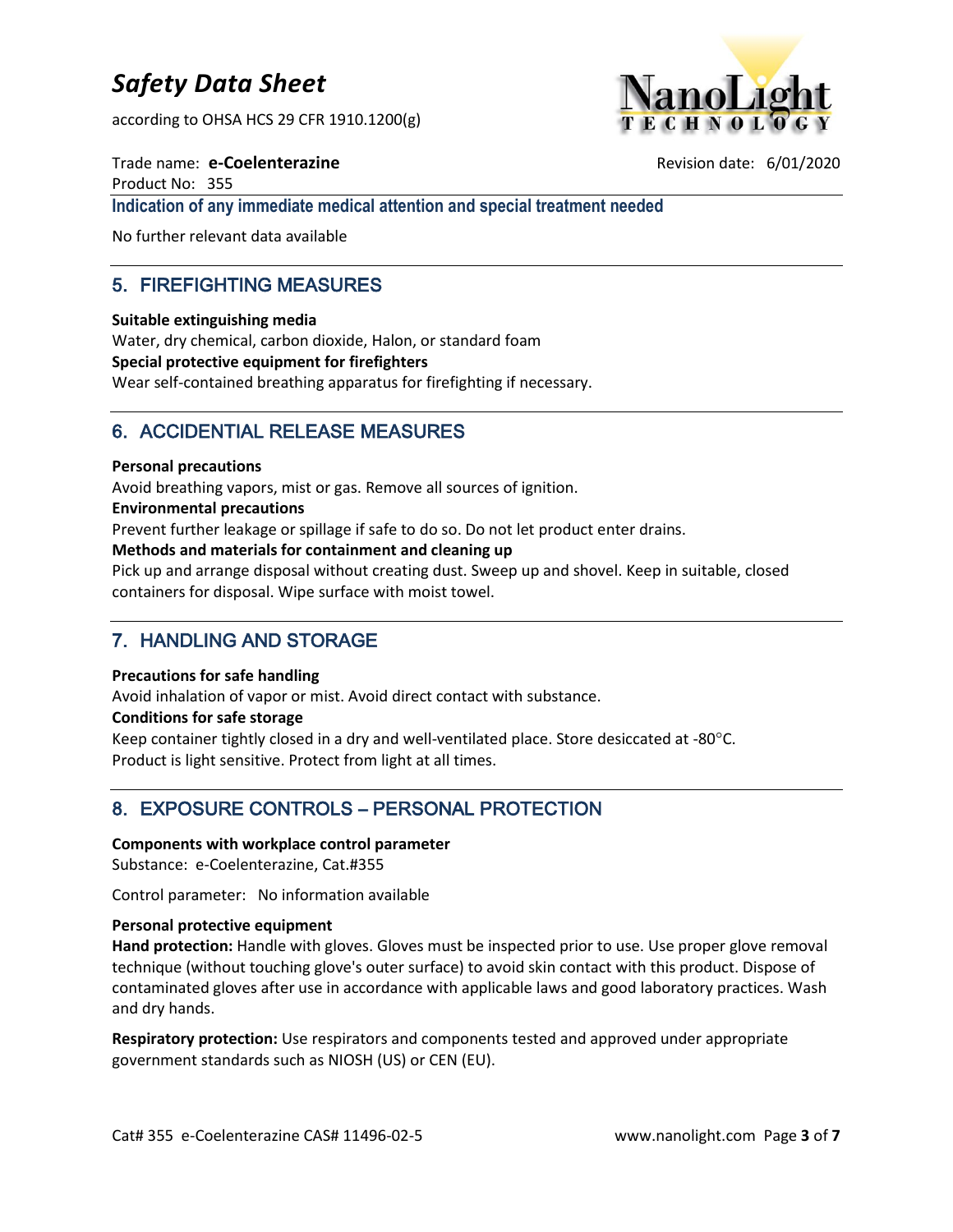according to OHSA HCS 29 CFR 1910.1200(g)



Trade name: **e-Coelenterazine Revision date: 6/01/2020** Product No: 355 **Indication of any immediate medical attention and special treatment needed**

No further relevant data available

# 5. FIREFIGHTING MEASURES

**Suitable extinguishing media**

Water, dry chemical, carbon dioxide, Halon, or standard foam **Special protective equipment for firefighters** Wear self-contained breathing apparatus for firefighting if necessary.

# 6. ACCIDENTIAL RELEASE MEASURES

#### **Personal precautions**

Avoid breathing vapors, mist or gas. Remove all sources of ignition.

**Environmental precautions**

Prevent further leakage or spillage if safe to do so. Do not let product enter drains.

#### **Methods and materials for containment and cleaning up**

Pick up and arrange disposal without creating dust. Sweep up and shovel. Keep in suitable, closed containers for disposal. Wipe surface with moist towel.

# 7. HANDLING AND STORAGE

#### **Precautions for safe handling**

Avoid inhalation of vapor or mist. Avoid direct contact with substance.

#### **Conditions for safe storage**

Keep container tightly closed in a dry and well-ventilated place. Store desiccated at -80 $^{\circ}$ C. Product is light sensitive. Protect from light at all times.

# 8. EXPOSURE CONTROLS – PERSONAL PROTECTION

#### **Components with workplace control parameter**

Substance: e-Coelenterazine, Cat.#355

Control parameter: No information available

#### **Personal protective equipment**

**Hand protection:** Handle with gloves. Gloves must be inspected prior to use. Use proper glove removal technique (without touching glove's outer surface) to avoid skin contact with this product. Dispose of contaminated gloves after use in accordance with applicable laws and good laboratory practices. Wash and dry hands.

**Respiratory protection:** Use respirators and components tested and approved under appropriate government standards such as NIOSH (US) or CEN (EU).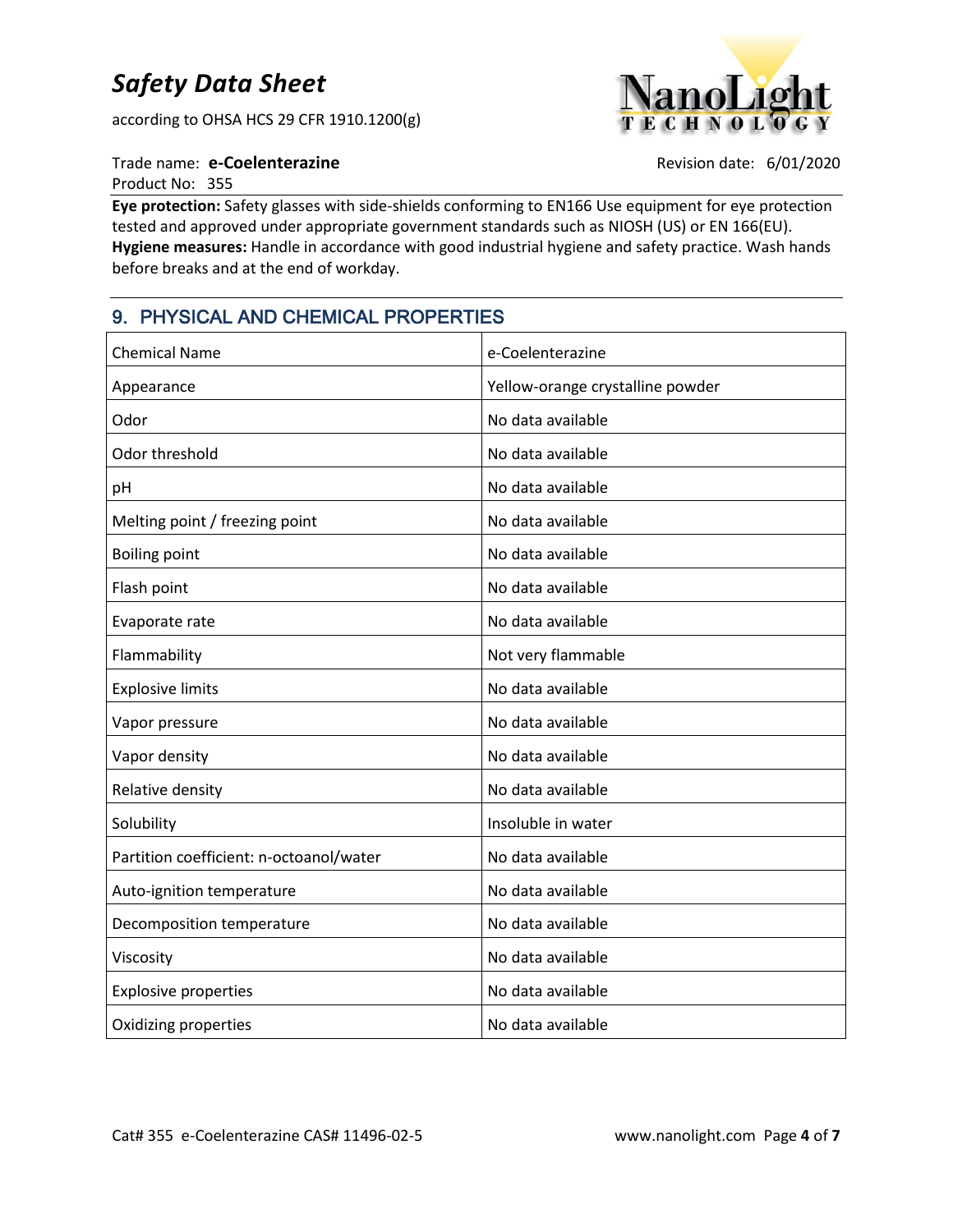according to OHSA HCS 29 CFR 1910.1200(g)



#### Trade name: **e-Coelenterazine Revision date: 6/01/2020**

Product No: 355

**Eye protection:** Safety glasses with side-shields conforming to EN166 Use equipment for eye protection tested and approved under appropriate government standards such as NIOSH (US) or EN 166(EU). **Hygiene measures:** Handle in accordance with good industrial hygiene and safety practice. Wash hands before breaks and at the end of workday.

# 9. PHYSICAL AND CHEMICAL PROPERTIES

| <b>Chemical Name</b>                    | e-Coelenterazine                 |
|-----------------------------------------|----------------------------------|
| Appearance                              | Yellow-orange crystalline powder |
| Odor                                    | No data available                |
| Odor threshold                          | No data available                |
| pH                                      | No data available                |
| Melting point / freezing point          | No data available                |
| <b>Boiling point</b>                    | No data available                |
| Flash point                             | No data available                |
| Evaporate rate                          | No data available                |
| Flammability                            | Not very flammable               |
| <b>Explosive limits</b>                 | No data available                |
| Vapor pressure                          | No data available                |
| Vapor density                           | No data available                |
| Relative density                        | No data available                |
| Solubility                              | Insoluble in water               |
| Partition coefficient: n-octoanol/water | No data available                |
| Auto-ignition temperature               | No data available                |
| Decomposition temperature               | No data available                |
| Viscosity                               | No data available                |
| <b>Explosive properties</b>             | No data available                |
| Oxidizing properties                    | No data available                |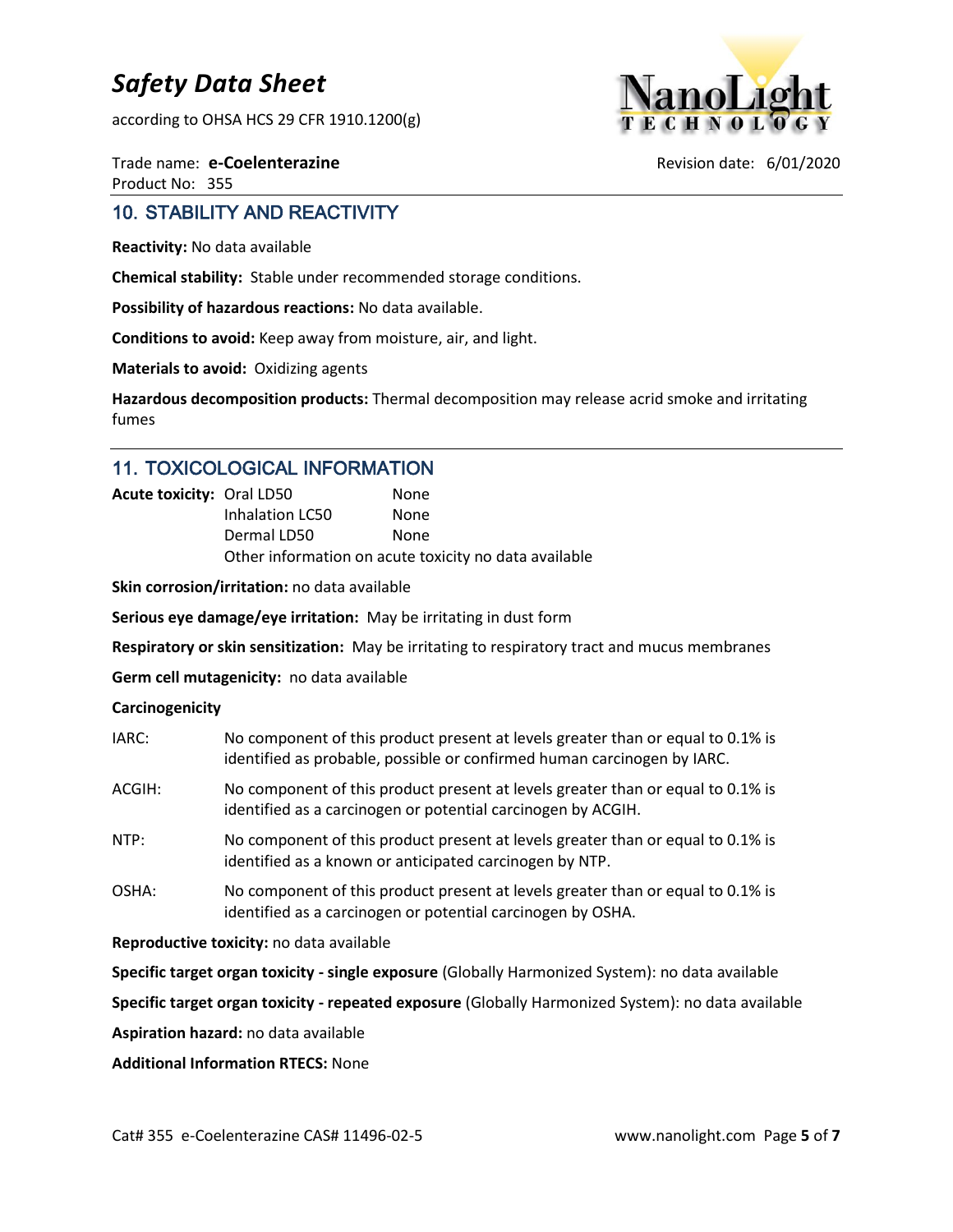according to OHSA HCS 29 CFR 1910.1200(g)



Trade name: **e-Coelenterazine Revision date: 6/01/2020** Product No: 355

# 10. STABILITY AND REACTIVITY

**Reactivity:** No data available

**Chemical stability:** Stable under recommended storage conditions.

**Possibility of hazardous reactions:** No data available.

**Conditions to avoid:** Keep away from moisture, air, and light.

**Materials to avoid:** Oxidizing agents

**Hazardous decomposition products:** Thermal decomposition may release acrid smoke and irritating fumes

### 11. TOXICOLOGICAL INFORMATION

| <b>Acute toxicity: Oral LD50</b> |                 | None                                                  |
|----------------------------------|-----------------|-------------------------------------------------------|
|                                  | Inhalation LC50 | None                                                  |
|                                  | Dermal LD50     | None                                                  |
|                                  |                 | Other information on acute toxicity no data available |

**Skin corrosion/irritation:** no data available

**Serious eye damage/eye irritation:** May be irritating in dust form

**Respiratory or skin sensitization:** May be irritating to respiratory tract and mucus membranes

**Germ cell mutagenicity:** no data available

#### **Carcinogenicity**

| IARC:  | No component of this product present at levels greater than or equal to 0.1% is<br>identified as probable, possible or confirmed human carcinogen by IARC. |
|--------|------------------------------------------------------------------------------------------------------------------------------------------------------------|
| ACGIH: | No component of this product present at levels greater than or equal to 0.1% is<br>identified as a carcinogen or potential carcinogen by ACGIH.            |
| NTP:   | No component of this product present at levels greater than or equal to 0.1% is<br>identified as a known or anticipated carcinogen by NTP.                 |
| OSHA:  | No component of this product present at levels greater than or equal to 0.1% is<br>identified as a carcinogen or potential carcinogen by OSHA.             |

**Reproductive toxicity:** no data available

**Specific target organ toxicity - single exposure** (Globally Harmonized System): no data available

**Specific target organ toxicity - repeated exposure** (Globally Harmonized System): no data available

**Aspiration hazard:** no data available

**Additional Information RTECS:** None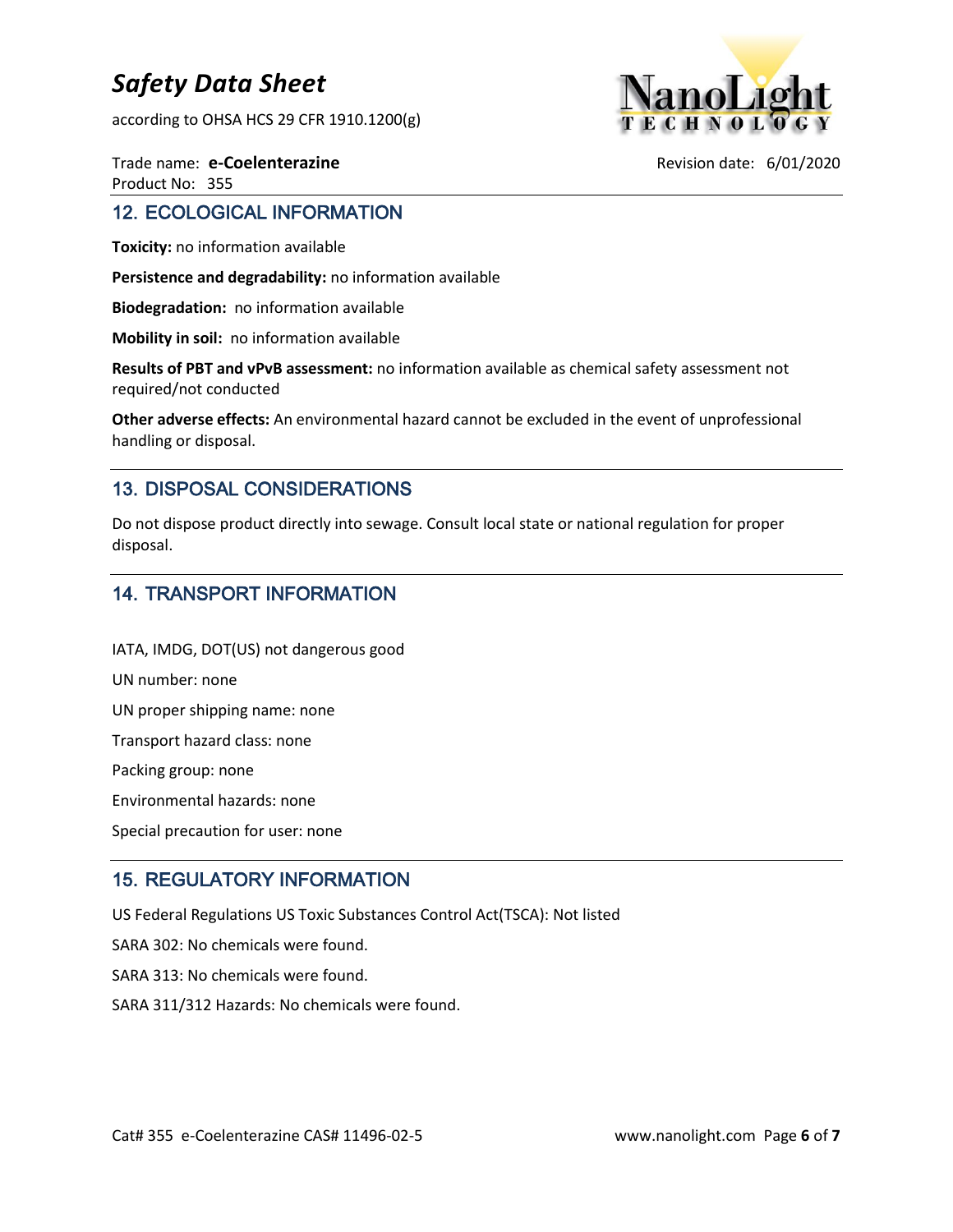according to OHSA HCS 29 CFR 1910.1200(g)



Trade name: **e-Coelenterazine Revision date: 6/01/2020** Product No: 355

### 12. ECOLOGICAL INFORMATION

**Toxicity:** no information available

**Persistence and degradability:** no information available

**Biodegradation:** no information available

**Mobility in soil:** no information available

**Results of PBT and vPvB assessment:** no information available as chemical safety assessment not required/not conducted

**Other adverse effects:** An environmental hazard cannot be excluded in the event of unprofessional handling or disposal.

# 13. DISPOSAL CONSIDERATIONS

Do not dispose product directly into sewage. Consult local state or national regulation for proper disposal.

# 14. TRANSPORT INFORMATION

IATA, IMDG, DOT(US) not dangerous good UN number: none UN proper shipping name: none Transport hazard class: none Packing group: none Environmental hazards: none Special precaution for user: none

# 15. REGULATORY INFORMATION

US Federal Regulations US Toxic Substances Control Act(TSCA): Not listed

SARA 302: No chemicals were found.

SARA 313: No chemicals were found.

SARA 311/312 Hazards: No chemicals were found.